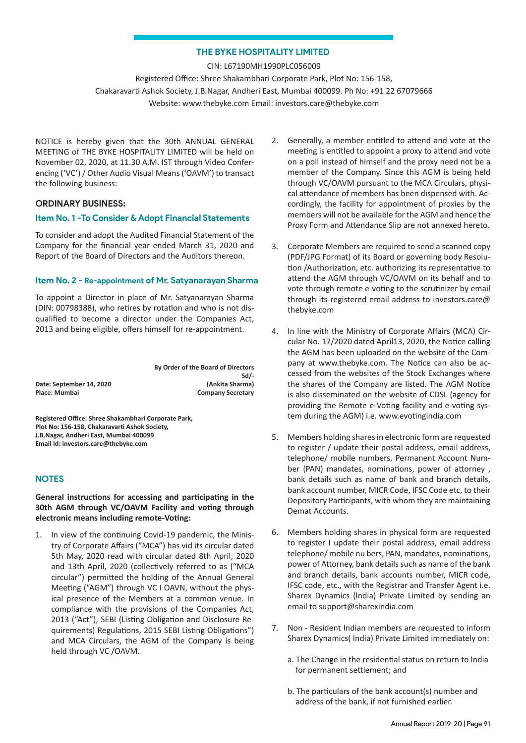## **THE BYKE HOSPITALITY LIMITED**

CIN: L67190MH1990PLC056009 Registered Office: Shree Shakambhari Corporate Park, Plot No: 156-158, Chakaravarti Ashok Society, J.B.Nagar, Andheri East, Mumbai 400099. Ph No: +91 22 67079666 Website: www.thebyke.com Email: investors.care@thebyke.com

NOTICE is hereby given that the 30th ANNUAL GENERAL MEETING of THE BYKE HOSPITALITY LIMITED will be held on November 02, 2020, at 11.30 A.M. IST through Video Conferencing ('VC') / Other Audio Visual Means ('OAVM') to transact the following business:

### **ORDINARY BUSINESS:**

## **Item No. 1 -To Consider & Adopt Financial Statements**

To consider and adopt the Audited Financial Statement of the Company for the financial year ended March 31, 2020 and Report of the Board of Directors and the Auditors thereon.

#### **Item No. 2 - Re-appointment of Mr. Satyanarayan Sharma**

To appoint a Director in place of Mr. Satyanarayan Sharma (DIN: 00798388), who retires by rotation and who is not disqualified to become a director under the Companies Act, 2013 and being eligible, offers himself for re-appointment.

**By Order of the Board of Directors Sd/-**<br>**(Ankita Sharma)** Place: Mumbai **Company Secretary** 

**Registered Office: Shree Shakambhari Corporate Park, Plot No: 156-158, Chakaravarti Ashok Society, J.B.Nagar, Andheri East, Mumbai 400099 Email Id: investors.care@thebyke.com**

# **NOTES**

Date: September 14, 2020

**General instructions for accessing and participating in the 30th AGM through VC/OAVM Facility and voting through electronic means including remote-Voting:**

1. In view of the continuing Covid-19 pandemic, the Ministry of Corporate Affairs ("MCA") has vid its circular dated 5th May, 2020 read with circular dated 8th April, 2020 and 13th April, 2020 (collectively referred to as ("MCA circular") permitted the holding of the Annual General Meeting ("AGM") through VC I OAVN, without the physical presence of the Members at a common venue. In compliance with the provisions of the Companies Act, 2013 ("Act"), SEBI (Listing Obligation and Disclosure Requirements) Regulations, 2015 SEBI Listing Obligations") and MCA Circulars, the AGM of the Company is being held through VC /OAVM.

- 2. Generally, a member entitled to attend and vote at the meeting is entitled to appoint a proxy to attend and vote on a poll instead of himself and the proxy need not be a member of the Company. Since this AGM is being held through VC/OAVM pursuant to the MCA Circulars, physical attendance of members has been dispensed with. Accordingly, the facility for appointment of proxies by the members will not be available for the AGM and hence the Proxy Form and Attendance Slip are not annexed hereto.
- 3. Corporate Members are required to send a scanned copy (PDF/JPG Format) of its Board or governing body Resolution /Authorization, etc. authorizing its representative to attend the AGM through VC/OAVM on its behalf and to vote through remote e-voting to the scrutinizer by email through its registered email address to investors.care@ thebyke.com
- 4. In line with the Ministry of Corporate Affairs (MCA) Circular No. 17/2020 dated April13, 2020, the Notice calling the AGM has been uploaded on the website of the Company at www.thebyke.com. The Notice can also be accessed from the websites of the Stock Exchanges where the shares of the Company are listed. The AGM Notice is also disseminated on the website of CDSL (agency for providing the Remote e-Voting facility and e-voting system during the AGM) i.e. www.evotingindia.com
- 5. Members holding shares in electronic form are requested to register / update their postal address, email address, telephone/ mobile numbers, Permanent Account Number (PAN) mandates, nominations, power of attorney , bank details such as name of bank and branch details, bank account number, MICR Code, IFSC Code etc, to their Depository Participants, with whom they are maintaining Demat Accounts.
- 6. Members holding shares in physical form are requested to register I update their postal address, email address telephone/ mobile nu bers, PAN, mandates, nominations, power of Attorney, bank details such as name of the bank and branch details, bank accounts number, MICR code, IFSC code, etc., with the Registrar and Transfer Agent i.e. Sharex Dynamics (lndia) Private Limited by sending an email to support@sharexindia.com
- 7. Non Resident Indian members are requested to inform Sharex Dynamics( India) Private Limited immediately on:
	- a. The Change in the residential status on return to India for permanent settlement; and
	- b. The particulars of the bank account(s) number and address of the bank, if not furnished earlier.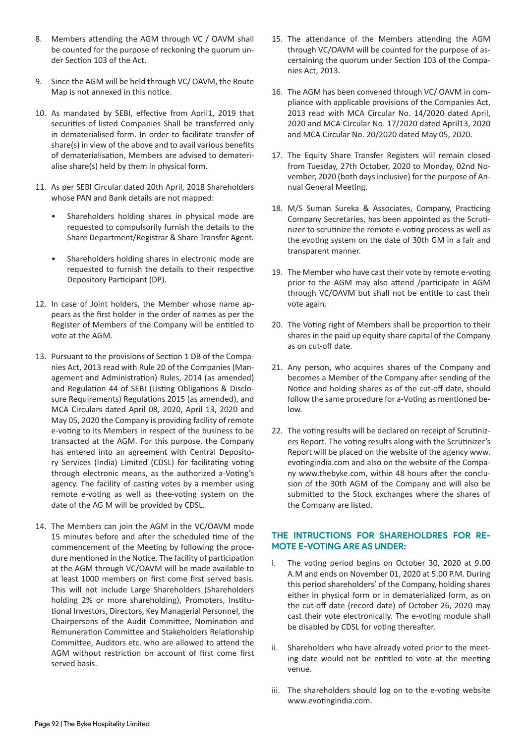- 8. Members attending the AGM through VC / OAVM shall be counted for the purpose of reckoning the quorum under Section 103 of the Act.
- 9. Since the AGM will be held through VC/ OAVM, the Route Map is not annexed in this notice.
- 10. As mandated by SEBI, effective from April1, 2019 that securities of listed Companies Shall be transferred only in dematerialised form. In order to facilitate transfer of share(s) in view of the above and to avail various benefits of dematerialisation, Members are advised to dematerialise share(s) held by them in physical form.
- 11. As per SEBI Circular dated 20th April, 2018 Shareholders whose PAN and Bank details are not mapped:
	- Shareholders holding shares in physical mode are requested to compulsorily furnish the details to the Share Department/Registrar & Share Transfer Agent.
	- Shareholders holding shares in electronic mode are requested to furnish the details to their respective Depository Participant (DP).
- 12. In case of Joint holders, the Member whose name appears as the first holder in the order of names as per the Register of Members of the Company will be entitled to vote at the AGM.
- 13. Pursuant to the provisions of Section 1 DB of the Companies Act, 2013 read with Rule 20 of the Companies (Management and Administration) Rules, 2014 (as amended) and Regulation 44 of SEBI (Listing Obligations & Disclosure Requirements) Regulations 2015 (as amended), and MCA Circulars dated April 08, 2020, April 13, 2020 and May 05, 2020 the Company is providing facility of remote e-voting to its Members in respect of the business to be transacted at the AGM. For this purpose, the Company has entered into an agreement with Central Depository Services (India) Limited (CDSL) for facilitating voting through electronic means, as the authorized a-Voting's agency. The facility of casting votes by a member using remote e-voting as well as thee-voting system on the date of the AG M will be provided by CDSL.
- 14. The Members can join the AGM in the VC/OAVM mode 15 minutes before and after the scheduled time of the commencement of the Meeting by following the procedure mentioned in the Notice. The facility of participation at the AGM through VC/OAVM will be made available to at least 1000 members on first come first served basis. This will not include Large Shareholders (Shareholders holding 2% or more shareholding), Promoters, Institutional Investors, Directors, Key Managerial Personnel, the Chairpersons of the Audit Committee, Nomination and Remuneration Committee and Stakeholders Relationship Committee, Auditors etc. who are allowed to attend the AGM without restriction on account of first come first served basis.
- 15. The attendance of the Members attending the AGM through VC/OAVM will be counted for the purpose of ascertaining the quorum under Section 103 of the Companies Act, 2013.
- 16. The AGM has been convened through VC/ OAVM in compliance with applicable provisions of the Companies Act, 2013 read with MCA Circular No. 14/2020 dated April, 2020 and MCA Circular No. 17/2020 dated April13, 2020 and MCA Circular No. 20/2020 dated May 05, 2020.
- 17. The Equity Share Transfer Registers will remain closed from Tuesday, 27th October, 2020 to Monday, 02nd November, 2020 (both days inclusive) for the purpose of Annual General Meeting.
- 18. M/S Suman Sureka & Associates, Company, Practicing Company Secretaries, has been appointed as the Scrutinizer to scrutinize the remote e-voting process as well as the evoting system on the date of 30th GM in a fair and transparent manner.
- 19. The Member who have cast their vote by remote e-voting prior to the AGM may also attend /participate in AGM through VC/OAVM but shall not be entitle to cast their vote again.
- 20. The Voting right of Members shall be proportion to their shares in the paid up equity share capital of the Company as on cut-off date.
- 21. Any person, who acquires shares of the Company and becomes a Member of the Company after sending of the Notice and holding shares as of the cut-off date, should follow the same procedure for a-Voting as mentioned below.
- 22. The voting results will be declared on receipt of Scrutinizers Report. The voting results along with the Scrutinizer's Report will be placed on the website of the agency www. evotingindia.com and also on the website of the Company www.thebyke.com, within 48 hours after the conclusion of the 30th AGM of the Company and will also be submitted to the Stock exchanges where the shares of the Company are listed.

# **THE INTRUCTIONS FOR SHAREHOLDRES FOR RE-MOTE E-VOTING ARE AS UNDER:**

- i. The voting period begins on October 30, 2020 at 9.00 A.M and ends on November 01, 2020 at 5.00 P.M. During this period shareholders' of the Company, holding shares either in physical form or in dematerialized form, as on the cut-off date (record date) of October 26, 2020 may cast their vote electronically. The e-voting module shall be disabled by CDSL for voting thereafter.
- ii. Shareholders who have already voted prior to the meeting date would not be entitled to vote at the meeting venue.
- iii. The shareholders should log on to the e-voting website www.evotingindia.com.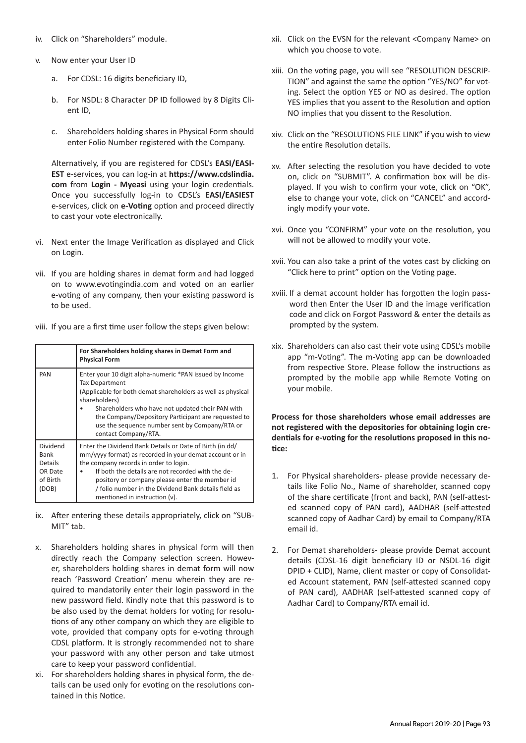- iv. Click on "Shareholders" module.
- v. Now enter your User ID
	- a. For CDSL: 16 digits beneficiary ID,
	- b. For NSDL: 8 Character DP ID followed by 8 Digits Client ID,
	- c. Shareholders holding shares in Physical Form should enter Folio Number registered with the Company.

Alternatively, if you are registered for CDSL's **EASI/EASI-EST** e-services, you can log-in at **https://www.cdslindia. com** from **Login - Myeasi** using your login credentials. Once you successfully log-in to CDSL's **EASI/EASIEST** e-services, click on **e-Voting** option and proceed directly to cast your vote electronically.

- vi. Next enter the Image Verification as displayed and Click on Login.
- vii. If you are holding shares in demat form and had logged on to www.evotingindia.com and voted on an earlier e-voting of any company, then your existing password is to be used.

|  |  |  | viii. If you are a first time user follow the steps given below: |
|--|--|--|------------------------------------------------------------------|
|--|--|--|------------------------------------------------------------------|

|                                                                    | For Shareholders holding shares in Demat Form and<br><b>Physical Form</b>                                                                                                                                                                                                                                                                                     |
|--------------------------------------------------------------------|---------------------------------------------------------------------------------------------------------------------------------------------------------------------------------------------------------------------------------------------------------------------------------------------------------------------------------------------------------------|
| PAN                                                                | Enter your 10 digit alpha-numeric *PAN issued by Income<br><b>Tax Department</b><br>(Applicable for both demat shareholders as well as physical<br>shareholders)<br>Shareholders who have not updated their PAN with<br>the Company/Depository Participant are requested to<br>use the sequence number sent by Company/RTA or<br>contact Company/RTA.         |
| Dividend<br>Bank<br><b>Details</b><br>OR Date<br>of Birth<br>(DOB) | Enter the Dividend Bank Details or Date of Birth (in dd/<br>mm/yyyy format) as recorded in your demat account or in<br>the company records in order to login.<br>If both the details are not recorded with the de-<br>pository or company please enter the member id<br>/ folio number in the Dividend Bank details field as<br>mentioned in instruction (v). |

- ix. After entering these details appropriately, click on "SUB-MIT" tab.
- x. Shareholders holding shares in physical form will then directly reach the Company selection screen. However, shareholders holding shares in demat form will now reach 'Password Creation' menu wherein they are required to mandatorily enter their login password in the new password field. Kindly note that this password is to be also used by the demat holders for voting for resolutions of any other company on which they are eligible to vote, provided that company opts for e-voting through CDSL platform. It is strongly recommended not to share your password with any other person and take utmost care to keep your password confidential.
- xi. For shareholders holding shares in physical form, the details can be used only for evoting on the resolutions contained in this Notice.
- xii. Click on the EVSN for the relevant <Company Name> on which you choose to vote.
- xiii. On the voting page, you will see "RESOLUTION DESCRIP-TION" and against the same the option "YES/NO" for voting. Select the option YES or NO as desired. The option YES implies that you assent to the Resolution and option NO implies that you dissent to the Resolution.
- xiv. Click on the "RESOLUTIONS FILE LINK" if you wish to view the entire Resolution details.
- xv. After selecting the resolution you have decided to vote on, click on "SUBMIT". A confirmation box will be displayed. If you wish to confirm your vote, click on "OK", else to change your vote, click on "CANCEL" and accordingly modify your vote.
- xvi. Once you "CONFIRM" your vote on the resolution, you will not be allowed to modify your vote.
- xvii. You can also take a print of the votes cast by clicking on "Click here to print" option on the Voting page.
- xviii. If a demat account holder has forgotten the login password then Enter the User ID and the image verification code and click on Forgot Password & enter the details as prompted by the system.
- xix. Shareholders can also cast their vote using CDSL's mobile app "m-Voting". The m-Voting app can be downloaded from respective Store. Please follow the instructions as prompted by the mobile app while Remote Voting on your mobile.

**Process for those shareholders whose email addresses are not registered with the depositories for obtaining login credentials for e-voting for the resolutions proposed in this notice:**

- 1. For Physical shareholders- please provide necessary details like Folio No., Name of shareholder, scanned copy of the share certificate (front and back), PAN (self-attested scanned copy of PAN card), AADHAR (self-attested scanned copy of Aadhar Card) by email to Company/RTA email id.
- 2. For Demat shareholders- please provide Demat account details (CDSL-16 digit beneficiary ID or NSDL-16 digit DPID + CLID), Name, client master or copy of Consolidated Account statement, PAN (self-attested scanned copy of PAN card), AADHAR (self-attested scanned copy of Aadhar Card) to Company/RTA email id.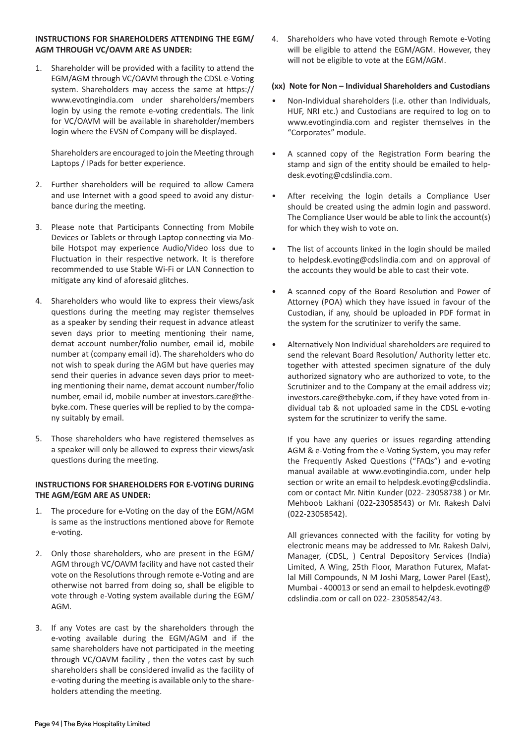## **INSTRUCTIONS FOR SHAREHOLDERS ATTENDING THE EGM/ AGM THROUGH VC/OAVM ARE AS UNDER:**

1. Shareholder will be provided with a facility to attend the EGM/AGM through VC/OAVM through the CDSL e-Voting system. Shareholders may access the same at https:// www.evotingindia.com under shareholders/members login by using the remote e-voting credentials. The link for VC/OAVM will be available in shareholder/members login where the EVSN of Company will be displayed.

Shareholders are encouraged to join the Meeting through Laptops / IPads for better experience.

- 2. Further shareholders will be required to allow Camera and use Internet with a good speed to avoid any disturbance during the meeting.
- 3. Please note that Participants Connecting from Mobile Devices or Tablets or through Laptop connecting via Mobile Hotspot may experience Audio/Video loss due to Fluctuation in their respective network. It is therefore recommended to use Stable Wi-Fi or LAN Connection to mitigate any kind of aforesaid glitches.
- 4. Shareholders who would like to express their views/ask questions during the meeting may register themselves as a speaker by sending their request in advance atleast seven days prior to meeting mentioning their name, demat account number/folio number, email id, mobile number at (company email id). The shareholders who do not wish to speak during the AGM but have queries may send their queries in advance seven days prior to meeting mentioning their name, demat account number/folio number, email id, mobile number at investors.care@thebyke.com. These queries will be replied to by the company suitably by email.
- 5. Those shareholders who have registered themselves as a speaker will only be allowed to express their views/ask questions during the meeting.

# **INSTRUCTIONS FOR SHAREHOLDERS FOR E-VOTING DURING THE AGM/EGM ARE AS UNDER:**

- 1. The procedure for e-Voting on the day of the EGM/AGM is same as the instructions mentioned above for Remote e-voting.
- 2. Only those shareholders, who are present in the EGM/ AGM through VC/OAVM facility and have not casted their vote on the Resolutions through remote e-Voting and are otherwise not barred from doing so, shall be eligible to vote through e-Voting system available during the EGM/ AGM.
- 3. If any Votes are cast by the shareholders through the e-voting available during the EGM/AGM and if the same shareholders have not participated in the meeting through VC/OAVM facility , then the votes cast by such shareholders shall be considered invalid as the facility of e-voting during the meeting is available only to the shareholders attending the meeting.

4. Shareholders who have voted through Remote e-Voting will be eligible to attend the EGM/AGM. However, they will not be eligible to vote at the EGM/AGM.

## **(xx) Note for Non – Individual Shareholders and Custodians**

- Non-Individual shareholders (i.e. other than Individuals, HUF, NRI etc.) and Custodians are required to log on to www.evotingindia.com and register themselves in the "Corporates" module.
- A scanned copy of the Registration Form bearing the stamp and sign of the entity should be emailed to helpdesk.evoting@cdslindia.com.
- After receiving the login details a Compliance User should be created using the admin login and password. The Compliance User would be able to link the account(s) for which they wish to vote on.
- The list of accounts linked in the login should be mailed to helpdesk.evoting@cdslindia.com and on approval of the accounts they would be able to cast their vote.
- A scanned copy of the Board Resolution and Power of Attorney (POA) which they have issued in favour of the Custodian, if any, should be uploaded in PDF format in the system for the scrutinizer to verify the same.
- Alternatively Non Individual shareholders are required to send the relevant Board Resolution/ Authority letter etc. together with attested specimen signature of the duly authorized signatory who are authorized to vote, to the Scrutinizer and to the Company at the email address viz; investors.care@thebyke.com, if they have voted from individual tab & not uploaded same in the CDSL e-voting system for the scrutinizer to verify the same.

If you have any queries or issues regarding attending AGM & e-Voting from the e-Voting System, you may refer the Frequently Asked Questions ("FAQs") and e-voting manual available at www.evotingindia.com, under help section or write an email to helpdesk.evoting@cdslindia. com or contact Mr. Nitin Kunder (022- 23058738 ) or Mr. Mehboob Lakhani (022-23058543) or Mr. Rakesh Dalvi (022-23058542).

All grievances connected with the facility for voting by electronic means may be addressed to Mr. Rakesh Dalvi, Manager, (CDSL, ) Central Depository Services (India) Limited, A Wing, 25th Floor, Marathon Futurex, Mafatlal Mill Compounds, N M Joshi Marg, Lower Parel (East), Mumbai - 400013 or send an email to helpdesk.evoting@ cdslindia.com or call on 022- 23058542/43.